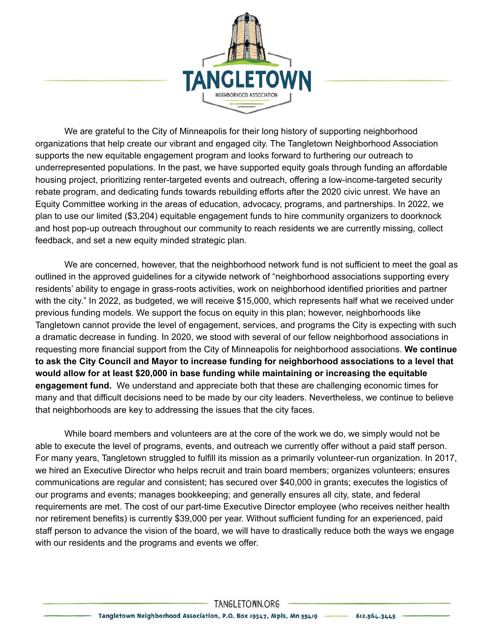

We are grateful to the City of Minneapolis for their long history of supporting neighborhood organizations that help create our vibrant and engaged city. The Tangletown Neighborhood Association supports the new equitable engagement program and looks forward to furthering our outreach to underrepresented populations. In the past, we have supported equity goals through funding an affordable housing project, prioritizing renter-targeted events and outreach, offering a low-income-targeted security rebate program, and dedicating funds towards rebuilding efforts after the 2020 civic unrest. We have an Equity Committee working in the areas of education, advocacy, programs, and partnerships. In 2022, we plan to use our limited (\$3,204) equitable engagement funds to hire community organizers to doorknock and host pop-up outreach throughout our community to reach residents we are currently missing, collect feedback, and set a new equity minded strategic plan.

We are concerned, however, that the neighborhood network fund is not sufficient to meet the goal as outlined in the approved guidelines for a citywide network of "neighborhood associations supporting every residents' ability to engage in grass-roots activities, work on neighborhood identified priorities and partner with the city." In 2022, as budgeted, we will receive \$15,000, which represents half what we received under previous funding models. We support the focus on equity in this plan; however, neighborhoods like Tangletown cannot provide the level of engagement, services, and programs the City is expecting with such a dramatic decrease in funding. In 2020, we stood with several of our fellow neighborhood associations in requesting more financial support from the City of Minneapolis for neighborhood associations. **We continue to ask the City Council and Mayor to increase funding for neighborhood associations to a level that would allow for at least \$20,000 in base funding while maintaining or increasing the equitable engagement fund.** We understand and appreciate both that these are challenging economic times for many and that difficult decisions need to be made by our city leaders. Nevertheless, we continue to believe that neighborhoods are key to addressing the issues that the city faces.

While board members and volunteers are at the core of the work we do, we simply would not be able to execute the level of programs, events, and outreach we currently offer without a paid staff person. For many years, Tangletown struggled to fulfill its mission as a primarily volunteer-run organization. In 2017, we hired an Executive Director who helps recruit and train board members; organizes volunteers; ensures communications are regular and consistent; has secured over \$40,000 in grants; executes the logistics of our programs and events; manages bookkeeping; and generally ensures all city, state, and federal requirements are met. The cost of our part-time Executive Director employee (who receives neither health nor retirement benefits) is currently \$39,000 per year. Without sufficient funding for an experienced, paid staff person to advance the vision of the board, we will have to drastically reduce both the ways we engage with our residents and the programs and events we offer.